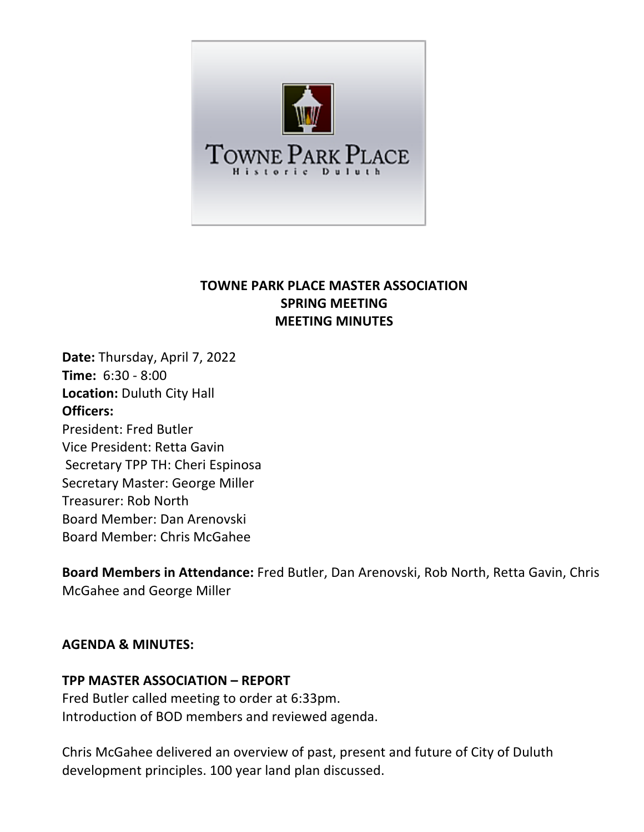

# **TOWNE PARK PLACE MASTER ASSOCIATION SPRING MEETING MEETING MINUTES**

**Date:** Thursday, April 7, 2022 **Time:** 6:30 - 8:00 **Location:** Duluth City Hall **Officers:** President: Fred Butler Vice President: Retta Gavin Secretary TPP TH: Cheri Espinosa Secretary Master: George Miller Treasurer: Rob North Board Member: Dan Arenovski Board Member: Chris McGahee

**Board Members in Attendance:** Fred Butler, Dan Arenovski, Rob North, Retta Gavin, Chris McGahee and George Miller

#### **AGENDA & MINUTES:**

#### **TPP MASTER ASSOCIATION – REPORT**

Fred Butler called meeting to order at 6:33pm. Introduction of BOD members and reviewed agenda.

Chris McGahee delivered an overview of past, present and future of City of Duluth development principles. 100 year land plan discussed.